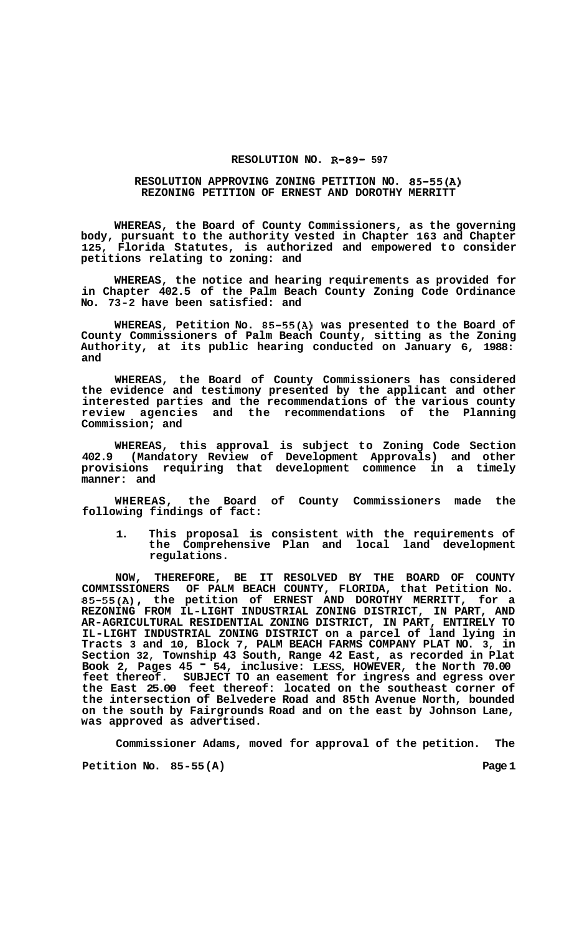## **RESOLUTION NO. R-89- 597**

## **RESOLUTION APPROVING ZONING PETITION NO. 85-55(A) REZONING PETITION OF ERNEST AND DOROTHY MERRITT**

**WHEREAS, the Board of County Commissioners, as the governing body, pursuant to the authority vested in Chapter 163 and Chapter 125, Florida Statutes, is authorized and empowered to consider petitions relating to zoning: and** 

**WHEREAS, the notice and hearing requirements as provided for in Chapter 402.5 of the Palm Beach County Zoning Code Ordinance No. 73-2 have been satisfied: and** 

**WHEREAS, Petition No. 85-55(A) was presented to the Board of County Commissioners of Palm Beach County, sitting as the Zoning Authority, at its public hearing conducted on January 6, 1988: and** 

**WHEREAS, the Board of County Commissioners has considered the evidence and testimony presented by the applicant and other interested parties and the recommendations of the various county review agencies and the recommendations of the Planning Commission; and** 

**WHEREAS, this approval is subject to Zoning Code Section 402.9 (Mandatory Review of Development Approvals) and other provisions requiring that development commence in a timely manner: and** 

**WHEREAS, the Board of County Commissioners made the following findings of fact:** 

**1. This proposal is consistent with the requirements of the Comprehensive Plan and local land development regulations.** 

**NOW, THEREFORE, BE IT RESOLVED BY THE BOARD OF COUNTY COMMISSIONERS OF PALM BEACH COUNTY, FLORIDA, that Petition No. 85-55(A), the petition of ERNEST AND DOROTHY MERRITT, for a REZONING FROM IL-LIGHT INDUSTRIAL ZONING DISTRICT, IN PART, AND AR-AGRICULTURAL RESIDENTIAL ZONING DISTRICT, IN PART, ENTIRELY TO IL-LIGHT INDUSTRIAL ZONING DISTRICT on a parcel of land lying in Tracts 3 and 10, Block 7, PALM BEACH FARMS COMPANY PLAT NO. 3, in Section 32, Township 43 South, Range 42 East, as recorded in Plat Book 2, Pages 45** - **54, inclusive: LESS, HOWEVER, the North 70.00 feet thereof. SUBJECT TO an easement for ingress and egress over the East 25.00 feet thereof: located on the southeast corner of the intersection of Belvedere Road and 85th Avenue North, bounded on the south by Fairgrounds Road and on the east by Johnson Lane, was approved as advertised.** 

**Commissioner Adams, moved for approval of the petition. The** 

**Petition No.** 85-55(A) Page 1